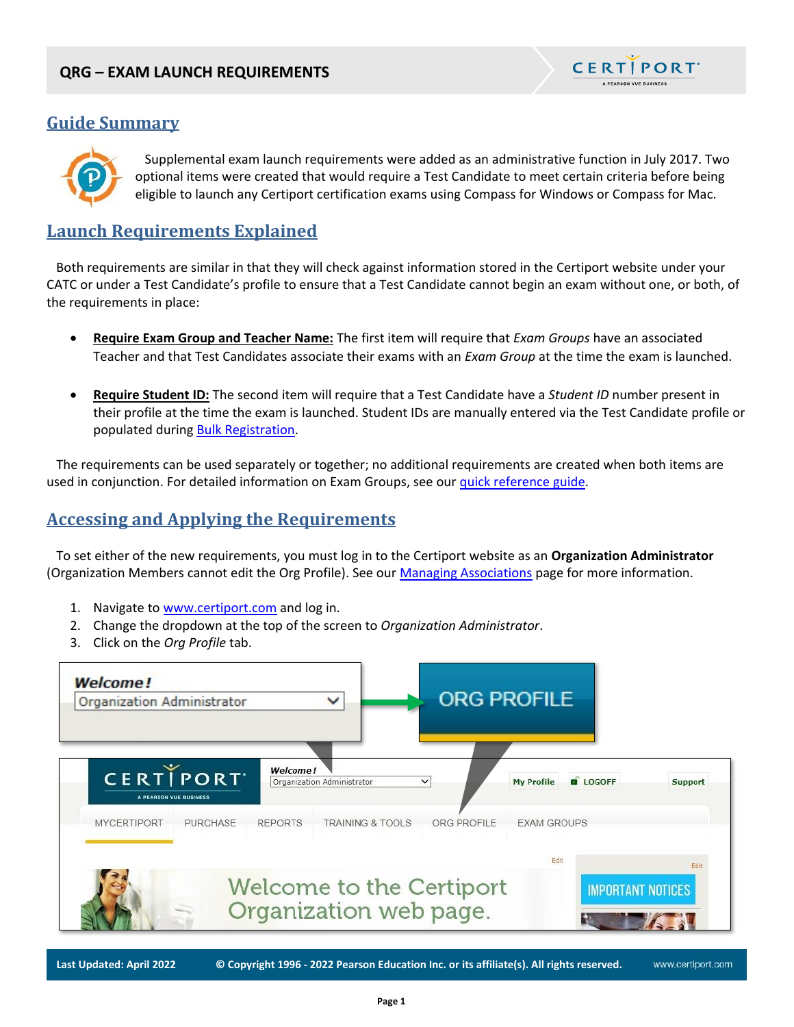

www.certiport.com

# **Guide Summary**



 Supplemental exam launch requirements were added as an administrative function in July 2017. Two optional items were created that would require a Test Candidate to meet certain criteria before being eligible to launch any Certiport certification exams using Compass for Windows or Compass for Mac.

# **Launch Requirements Explained**

 Both requirements are similar in that they will check against information stored in the Certiport website under your CATC or under a Test Candidate's profile to ensure that a Test Candidate cannot begin an exam without one, or both, of the requirements in place:

- **Require Exam Group and Teacher Name:** The first item will require that *Exam Groups* have an associated Teacher and that Test Candidates associate their exams with an *Exam Group* at the time the exam is launched.
- **Require Student ID:** The second item will require that a Test Candidate have a *Student ID* number present in their profile at the time the exam is launched. Student IDs are manually entered via the Test Candidate profile or populated durin[g Bulk Registration.](https://certiport.pearsonvue.com/Support/PDFs/QRG-Bulk-Registration.pdf)

 The requirements can be used separately or together; no additional requirements are created when both items are used in conjunction. For detailed information on Exam Groups, see our [quick reference guide.](https://certiport.pearsonvue.com/Support/PDFs/QRG-Exam-Groups.pdf)

# **Accessing and Applying the Requirements**

 To set either of the new requirements, you must log in to the Certiport website as an **Organization Administrator** (Organization Members cannot edit the Org Profile). See our [Managing Associations](https://certiport.pearsonvue.com/CATCs/Manage-associations) page for more information.

- 1. Navigate to [www.certiport.com](https://portal.certiport.com/Login) and log in.
- 2. Change the dropdown at the top of the screen to *Organization Administrator*.
- 3. Click on the *Org Profile* tab.



**Last Updated: April 2022 © Copyright 1996 - 2022 Pearson Education Inc. or its affiliate(s). All rights reserved.**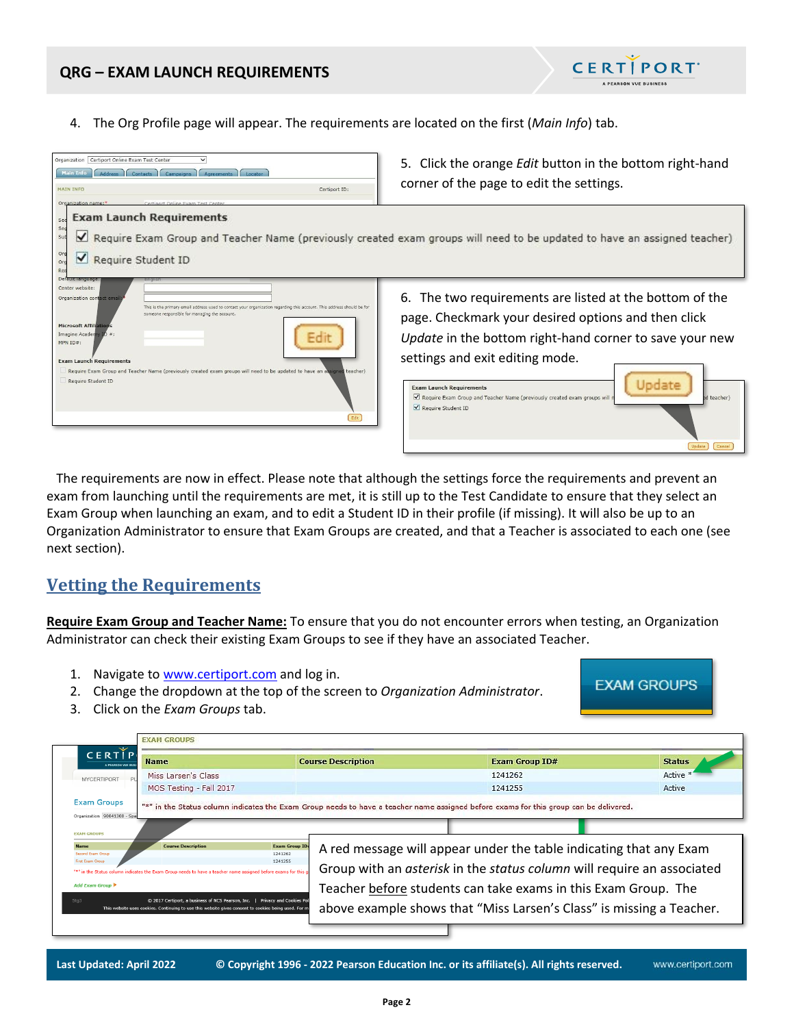

4. The Org Profile page will appear. The requirements are located on the first (*Main Info*) tab.



 The requirements are now in effect. Please note that although the settings force the requirements and prevent an exam from launching until the requirements are met, it is still up to the Test Candidate to ensure that they select an Exam Group when launching an exam, and to edit a Student ID in their profile (if missing). It will also be up to an Organization Administrator to ensure that Exam Groups are created, and that a Teacher is associated to each one (see next section).

## **Vetting the Requirements**

**Require Exam Group and Teacher Name:** To ensure that you do not encounter errors when testing, an Organization Administrator can check their existing Exam Groups to see if they have an associated Teacher.

- 1. Navigate to [www.certiport.com](https://portal.certiport.com/Login) and log in.
- 2. Change the dropdown at the top of the screen to *Organization Administrator*.



3. Click on the *Exam Groups* tab.

| CERTIP<br><b>Name</b><br>A PEARSON YUE OF                                                                                                                                                                                          | <b>Course Description</b>                   | <b>Exam Group ID#</b>                                                                                                                                                                                          | <b>Status</b> |
|------------------------------------------------------------------------------------------------------------------------------------------------------------------------------------------------------------------------------------|---------------------------------------------|----------------------------------------------------------------------------------------------------------------------------------------------------------------------------------------------------------------|---------------|
| Miss Larsen's Class<br>MYCERTIPORT                                                                                                                                                                                                 |                                             | 1241262                                                                                                                                                                                                        | Active        |
| MOS Testing - Fall 2017                                                                                                                                                                                                            |                                             | 1241255                                                                                                                                                                                                        | Active        |
|                                                                                                                                                                                                                                    |                                             |                                                                                                                                                                                                                |               |
| <b>EXAM GROUPS</b><br><b>Course Description</b><br><b>Second Exam Group</b><br>First Exam Group<br>"*" in the Status column indicates the Exam Group needs to have a teacher name assigned before exams for this<br>Add Exam Group | <b>Exam Group ID:</b><br>1241262<br>1241255 | A red message will appear under the table indicating that any Exam<br>Group with an asterisk in the status column will require an associated<br>Teacher before students can take exams in this Exam Group. The |               |

**Last Updated: April 2022 © Copyright 1996 - 2022 Pearson Education Inc. or its affiliate(s). All rights reserved.**  www.certiport.com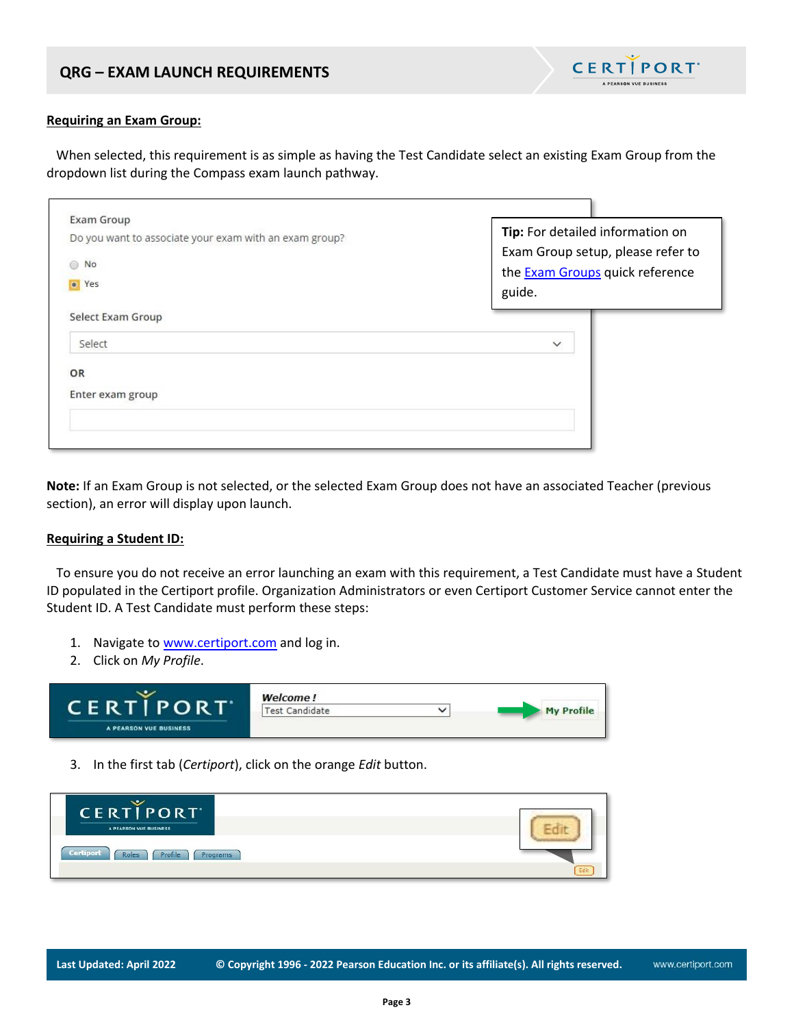

#### **Requiring an Exam Group:**

 When selected, this requirement is as simple as having the Test Candidate select an existing Exam Group from the dropdown list during the Compass exam launch pathway.

| Exam Group<br>Do you want to associate your exam with an exam group?<br>No<br>65<br>• Yes | Tip: For detailed information on<br>Exam Group setup, please refer to<br>the <b>Exam Groups</b> quick reference<br>guide. |
|-------------------------------------------------------------------------------------------|---------------------------------------------------------------------------------------------------------------------------|
| Select Exam Group<br>Select                                                               | $\checkmark$                                                                                                              |
| OR<br>Enter exam group                                                                    |                                                                                                                           |

**Note:** If an Exam Group is not selected, or the selected Exam Group does not have an associated Teacher (previous section), an error will display upon launch.

#### **Requiring a Student ID:**

 To ensure you do not receive an error launching an exam with this requirement, a Test Candidate must have a Student ID populated in the Certiport profile. Organization Administrators or even Certiport Customer Service cannot enter the Student ID. A Test Candidate must perform these steps:

- 1. Navigate to [www.certiport.com](https://portal.certiport.com/Login) and log in.
- 2. Click on *My Profile*.



3. In the first tab (*Certiport*), click on the orange *Edit* button.